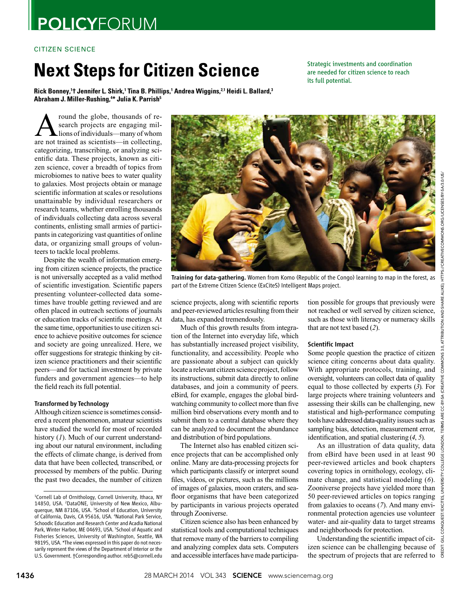# **POLICYFORUM**

### CITIZEN SCIENCE

# **Next Steps for Citizen Science**

**Rick Bonney, <sup>1</sup>† Jennifer L. Shirk, <sup>1</sup> Tina B. Phillips, <sup>1</sup> Andrea Wiggins, 2, 1 Heidi L. Ballard, <sup>3</sup> Abraham J. Miller-Rushing, <sup>4</sup>\* Julia K. Parrish <sup>5</sup>** 

Strategic investments and coordination are needed for citizen science to reach its full potential.

A round the globe, thousands of research projects are engaging mil-<br>are not trained as scientists—in collecting, round the globe, thousands of research projects are engaging millions of individuals—many of whom categorizing, transcribing, or analyzing scientific data. These projects, known as citizen science, cover a breadth of topics from microbiomes to native bees to water quality to galaxies. Most projects obtain or manage scientific information at scales or resolutions unattainable by individual researchers or research teams, whether enrolling thousands of individuals collecting data across several continents, enlisting small armies of participants in categorizing vast quantities of online data, or organizing small groups of volunteers to tackle local problems.

Despite the wealth of information emerging from citizen science projects, the practice is not universally accepted as a valid method of scientific investigation. Scientific papers presenting volunteer-collected data sometimes have trouble getting reviewed and are often placed in outreach sections of journals or education tracks of scientific meetings. At the same time, opportunities to use citizen science to achieve positive outcomes for science and society are going unrealized. Here, we offer suggestions for strategic thinking by citizen science practitioners and their scientific peers—and for tactical investment by private funders and government agencies—to help the field reach its full potential.

## Transformed by Technology

Although citizen science is sometimes considered a recent phenomenon, amateur scientists have studied the world for most of recorded history (1). Much of our current understanding about our natural environment, including the effects of climate change, is derived from data that have been collected, transcribed, or processed by members of the public. During the past two decades, the number of citizen



Training for data-gathering. Women from Komo (Republic of the Congo) learning to map in the forest, as part of the Extreme Citizen Science (ExCiteS) Intelligent Maps project.

science projects, along with scientific reports and peer-reviewed articles resulting from their data, has expanded tremendously.

Much of this growth results from integration of the Internet into everyday life, which has substantially increased project visibility, functionality, and accessibility. People who are passionate about a subject can quickly locate a relevant citizen science project, follow its instructions, submit data directly to online databases, and join a community of peers. eBird, for example, engages the global birdwatching community to collect more than five million bird observations every month and to submit them to a central database where they can be analyzed to document the abundance and distribution of bird populations.

The Internet also has enabled citizen science projects that can be accomplished only online. Many are data-processing projects for which participants classify or interpret sound files, videos, or pictures, such as the millions of images of galaxies, moon craters, and seafloor organisms that have been categorized by participants in various projects operated through Zooniverse.

Citizen science also has been enhanced by statistical tools and computational techniques that remove many of the barriers to compiling and analyzing complex data sets. Computers and accessible interfaces have made participation possible for groups that previously were not reached or well served by citizen science, such as those with literacy or numeracy skills that are not text based (2).

## Scientific Impact

Some people question the practice of citizen science citing concerns about data quality. With appropriate protocols, training, and oversight, volunteers can collect data of quality equal to those collected by experts (3). For large projects where training volunteers and assessing their skills can be challenging, new statistical and high-performance computing tools have addressed data-quality issues such as sampling bias, detection, measurement error, identification, and spatial clustering  $(4, 5)$ .

As an illustration of data quality, data from eBird have been used in at least 90 peer-reviewed articles and book chapters covering topics in ornithology, ecology, climate change, and statistical modeling (6). Zooniverse projects have yielded more than 50 peer-reviewed articles on topics ranging from galaxies to oceans (7). And many environmental protection agencies use volunteer water- and air-quality data to target streams and neighborhoods for protection.

Understanding the scientific impact of citizen science can be challenging because of the spectrum of projects that are referred to

<sup>&</sup>lt;sup>1</sup>Cornell Lab of Ornithology, Cornell University, Ithaca, NY 14850, USA. 2DataONE, University of New Mexico, Albuquerque, NM 87106, USA. <sup>3</sup>School of Education, University of California, Davis, CA 95616, USA. <sup>4</sup>National Park Service, Schoodic Education and Research Center and Acadia National Park, Winter Harbor, ME 04693, USA. <sup>5</sup>School of Aquatic and Fisheries Sciences, University of Washington, Seattle, WA 98195, USA. \*The views expressed in this paper do not necessarily represent the views of the Department of Interior or the U.S. Government. †Corresponding author. reb5@cornell.edu